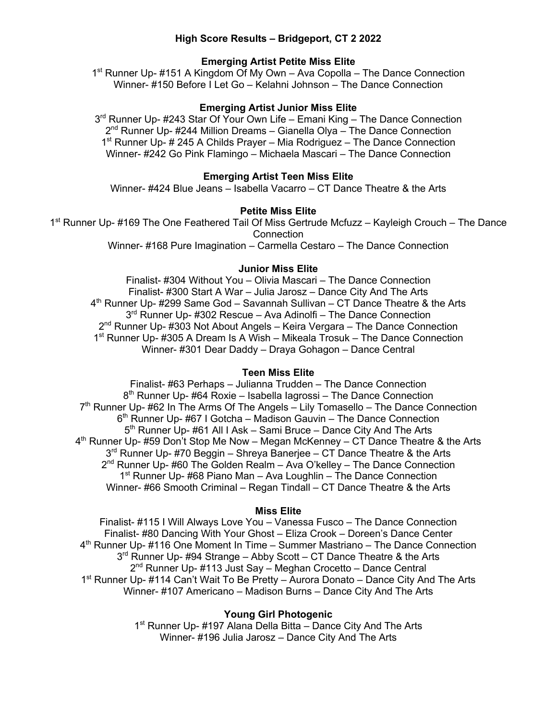# **High Score Results – Bridgeport, CT 2 2022**

# **Emerging Artist Petite Miss Elite**

1<sup>st</sup> Runner Up- #151 A Kingdom Of My Own – Ava Copolla – The Dance Connection Winner- #150 Before I Let Go – Kelahni Johnson – The Dance Connection

#### **Emerging Artist Junior Miss Elite**

3<sup>rd</sup> Runner Up- #243 Star Of Your Own Life – Emani King – The Dance Connection 2<sup>nd</sup> Runner Up- #244 Million Dreams – Gianella Olya – The Dance Connection 1<sup>st</sup> Runner Up- # 245 A Childs Prayer – Mia Rodriguez – The Dance Connection Winner- #242 Go Pink Flamingo – Michaela Mascari – The Dance Connection

# **Emerging Artist Teen Miss Elite**

Winner- #424 Blue Jeans – Isabella Vacarro – CT Dance Theatre & the Arts

#### **Petite Miss Elite**

1<sup>st</sup> Runner Up- #169 The One Feathered Tail Of Miss Gertrude Mcfuzz - Kayleigh Crouch - The Dance **Connection** Winner- #168 Pure Imagination – Carmella Cestaro – The Dance Connection

#### **Junior Miss Elite**

Finalist- #304 Without You – Olivia Mascari – The Dance Connection Finalist- #300 Start A War – Julia Jarosz – Dance City And The Arts  $4<sup>th</sup>$  Runner Up- #299 Same God – Savannah Sullivan – CT Dance Theatre & the Arts 3<sup>rd</sup> Runner Up- #302 Rescue – Ava Adinolfi – The Dance Connection 2<sup>nd</sup> Runner Up- #303 Not About Angels – Keira Vergara – The Dance Connection 1<sup>st</sup> Runner Up- #305 A Dream Is A Wish – Mikeala Trosuk – The Dance Connection Winner- #301 Dear Daddy – Draya Gohagon – Dance Central

# **Teen Miss Elite**

Finalist- #63 Perhaps – Julianna Trudden – The Dance Connection 8<sup>th</sup> Runner Up- #64 Roxie – Isabella lagrossi – The Dance Connection  $7<sup>th</sup>$  Runner Up- #62 In The Arms Of The Angels – Lily Tomasello – The Dance Connection  $6<sup>th</sup>$  Runner Up- #67 I Gotcha – Madison Gauvin – The Dance Connection 5<sup>th</sup> Runner Up- #61 All I Ask – Sami Bruce – Dance City And The Arts  $4<sup>th</sup>$  Runner Up- #59 Don't Stop Me Now – Megan McKenney – CT Dance Theatre & the Arts  $3<sup>rd</sup>$  Runner Up- #70 Beggin – Shreya Banerjee – CT Dance Theatre & the Arts 2<sup>nd</sup> Runner Up- #60 The Golden Realm – Ava O'kelley – The Dance Connection  $1<sup>st</sup>$  Runner Up- #68 Piano Man – Ava Loughlin – The Dance Connection Winner- #66 Smooth Criminal – Regan Tindall – CT Dance Theatre & the Arts

#### **Miss Elite**

Finalist- #115 I Will Always Love You – Vanessa Fusco – The Dance Connection Finalist- #80 Dancing With Your Ghost – Eliza Crook – Doreen's Dance Center  $4<sup>th</sup>$  Runner Up- #116 One Moment In Time – Summer Mastriano – The Dance Connection 3<sup>rd</sup> Runner Up- #94 Strange – Abby Scott – CT Dance Theatre & the Arts  $2<sup>nd</sup>$  Runner Up- #113 Just Say – Meghan Crocetto – Dance Central 1<sup>st</sup> Runner Up- #114 Can't Wait To Be Pretty – Aurora Donato – Dance City And The Arts Winner- #107 Americano – Madison Burns – Dance City And The Arts

#### **Young Girl Photogenic**

1<sup>st</sup> Runner Up- #197 Alana Della Bitta – Dance City And The Arts Winner- #196 Julia Jarosz – Dance City And The Arts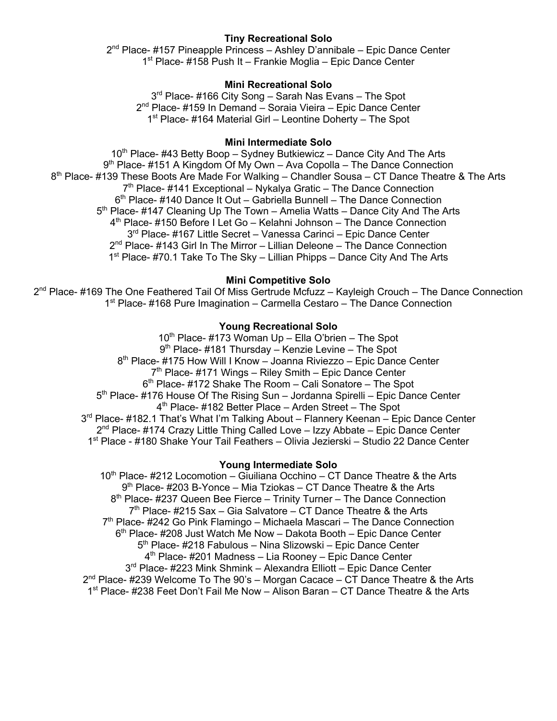# **Tiny Recreational Solo**

 $2<sup>nd</sup>$  Place- #157 Pineapple Princess – Ashley D'annibale – Epic Dance Center 1<sup>st</sup> Place- #158 Push It – Frankie Moglia – Epic Dance Center

# **Mini Recreational Solo**

3<sup>rd</sup> Place- #166 City Song – Sarah Nas Evans – The Spot 2<sup>nd</sup> Place- #159 In Demand – Soraia Vieira – Epic Dance Center 1<sup>st</sup> Place- #164 Material Girl – Leontine Doherty – The Spot

# **Mini Intermediate Solo**

10<sup>th</sup> Place- #43 Betty Boop – Sydney Butkiewicz – Dance City And The Arts  $9<sup>th</sup>$  Place- #151 A Kingdom Of My Own – Ava Copolla – The Dance Connection 8<sup>th</sup> Place- #139 These Boots Are Made For Walking – Chandler Sousa – CT Dance Theatre & The Arts  $7<sup>th</sup>$  Place- #141 Exceptional – Nykalya Gratic – The Dance Connection 6<sup>th</sup> Place- #140 Dance It Out – Gabriella Bunnell – The Dance Connection 5<sup>th</sup> Place- #147 Cleaning Up The Town – Amelia Watts – Dance City And The Arts 4th Place- #150 Before I Let Go – Kelahni Johnson – The Dance Connection 3<sup>rd</sup> Place- #167 Little Secret – Vanessa Carinci – Epic Dance Center  $2<sup>nd</sup>$  Place- #143 Girl In The Mirror – Lillian Deleone – The Dance Connection 1<sup>st</sup> Place- #70.1 Take To The Sky – Lillian Phipps – Dance City And The Arts

# **Mini Competitive Solo**

2<sup>nd</sup> Place- #169 The One Feathered Tail Of Miss Gertrude Mcfuzz – Kayleigh Crouch – The Dance Connection 1<sup>st</sup> Place- #168 Pure Imagination – Carmella Cestaro – The Dance Connection

# **Young Recreational Solo**

 $10^{th}$  Place- #173 Woman Up – Ella O'brien – The Spot  $9<sup>th</sup>$  Place- #181 Thursday – Kenzie Levine – The Spot 8<sup>th</sup> Place- #175 How Will I Know – Joanna Riviezzo – Epic Dance Center  $7<sup>th</sup>$  Place- #171 Wings – Riley Smith – Epic Dance Center  $6<sup>th</sup>$  Place- #172 Shake The Room – Cali Sonatore – The Spot 5<sup>th</sup> Place- #176 House Of The Rising Sun – Jordanna Spirelli – Epic Dance Center 4th Place- #182 Better Place – Arden Street – The Spot 3<sup>rd</sup> Place- #182.1 That's What I'm Talking About – Flannery Keenan – Epic Dance Center  $2^{nd}$  Place- #174 Crazy Little Thing Called Love – Izzy Abbate – Epic Dance Center 1st Place - #180 Shake Your Tail Feathers – Olivia Jezierski – Studio 22 Dance Center

#### **Young Intermediate Solo**

 $10<sup>th</sup>$  Place- #212 Locomotion – Giuiliana Occhino – CT Dance Theatre & the Arts 9<sup>th</sup> Place- #203 B-Yonce – Mia Tziokas – CT Dance Theatre & the Arts  $8<sup>th</sup>$  Place- #237 Queen Bee Fierce – Trinity Turner – The Dance Connection  $7<sup>th</sup>$  Place- #215 Sax – Gia Salvatore – CT Dance Theatre & the Arts 7th Place- #242 Go Pink Flamingo – Michaela Mascari – The Dance Connection 6<sup>th</sup> Place- #208 Just Watch Me Now – Dakota Booth – Epic Dance Center 5<sup>th</sup> Place- #218 Fabulous – Nina Slizowski – Epic Dance Center 4<sup>th</sup> Place- #201 Madness – Lia Rooney – Epic Dance Center 3<sup>rd</sup> Place- #223 Mink Shmink – Alexandra Elliott – Epic Dance Center  $2^{nd}$  Place- #239 Welcome To The 90's – Morgan Cacace – CT Dance Theatre & the Arts 1st Place- #238 Feet Don't Fail Me Now – Alison Baran – CT Dance Theatre & the Arts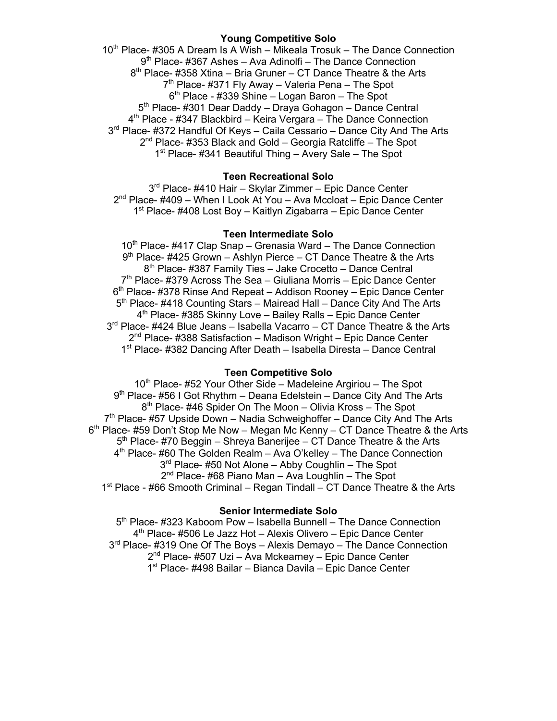## **Young Competitive Solo**

10<sup>th</sup> Place- #305 A Dream Is A Wish – Mikeala Trosuk – The Dance Connection 9<sup>th</sup> Place- #367 Ashes – Ava Adinolfi – The Dance Connection  $8<sup>th</sup>$  Place- #358 Xtina – Bria Gruner – CT Dance Theatre & the Arts  $7<sup>th</sup>$  Place- #371 Fly Away – Valeria Pena – The Spot  $6<sup>th</sup>$  Place - #339 Shine – Logan Baron – The Spot 5<sup>th</sup> Place- #301 Dear Daddy – Draya Gohagon – Dance Central 4th Place - #347 Blackbird – Keira Vergara – The Dance Connection 3<sup>rd</sup> Place- #372 Handful Of Keys – Caila Cessario – Dance City And The Arts  $2<sup>nd</sup>$  Place- #353 Black and Gold – Georgia Ratcliffe – The Spot 1<sup>st</sup> Place- #341 Beautiful Thing – Avery Sale – The Spot

# **Teen Recreational Solo**

3<sup>rd</sup> Place- #410 Hair – Skylar Zimmer – Epic Dance Center  $2^{nd}$  Place- #409 – When I Look At You – Ava Mccloat – Epic Dance Center 1<sup>st</sup> Place- #408 Lost Boy – Kaitlyn Zigabarra – Epic Dance Center

# **Teen Intermediate Solo**

10<sup>th</sup> Place- #417 Clap Snap – Grenasia Ward – The Dance Connection  $9<sup>th</sup>$  Place- #425 Grown – Ashlyn Pierce – CT Dance Theatre & the Arts  $8<sup>th</sup>$  Place- #387 Family Ties – Jake Crocetto – Dance Central  $7<sup>th</sup>$  Place- #379 Across The Sea – Giuliana Morris – Epic Dance Center  $6<sup>th</sup>$  Place- #378 Rinse And Repeat – Addison Rooney – Epic Dance Center 5<sup>th</sup> Place- #418 Counting Stars – Mairead Hall – Dance City And The Arts 4<sup>th</sup> Place- #385 Skinny Love - Bailey Ralls - Epic Dance Center 3<sup>rd</sup> Place- #424 Blue Jeans – Isabella Vacarro – CT Dance Theatre & the Arts  $2<sup>nd</sup>$  Place- #388 Satisfaction – Madison Wright – Epic Dance Center 1st Place- #382 Dancing After Death – Isabella Diresta – Dance Central

#### **Teen Competitive Solo**

 $10<sup>th</sup>$  Place- #52 Your Other Side – Madeleine Argiriou – The Spot 9<sup>th</sup> Place- #56 I Got Rhythm – Deana Edelstein – Dance City And The Arts 8<sup>th</sup> Place- #46 Spider On The Moon – Olivia Kross – The Spot  $7<sup>th</sup>$  Place- #57 Upside Down – Nadia Schweighoffer – Dance City And The Arts  $6<sup>th</sup>$  Place- #59 Don't Stop Me Now – Megan Mc Kenny – CT Dance Theatre & the Arts 5<sup>th</sup> Place- #70 Beggin – Shreya Banerijee – CT Dance Theatre & the Arts  $4<sup>th</sup>$  Place- #60 The Golden Realm – Ava O'kelley – The Dance Connection  $3<sup>rd</sup>$  Place- #50 Not Alone – Abby Coughlin – The Spot 2<sup>nd</sup> Place- #68 Piano Man – Ava Loughlin – The Spot 1st Place - #66 Smooth Criminal – Regan Tindall – CT Dance Theatre & the Arts

#### **Senior Intermediate Solo**

5<sup>th</sup> Place- #323 Kaboom Pow - Isabella Bunnell - The Dance Connection 4<sup>th</sup> Place- #506 Le Jazz Hot – Alexis Olivero – Epic Dance Center 3<sup>rd</sup> Place- #319 One Of The Boys – Alexis Demayo – The Dance Connection 2<sup>nd</sup> Place- #507 Uzi – Ava Mckearney – Epic Dance Center 1<sup>st</sup> Place- #498 Bailar – Bianca Davila – Epic Dance Center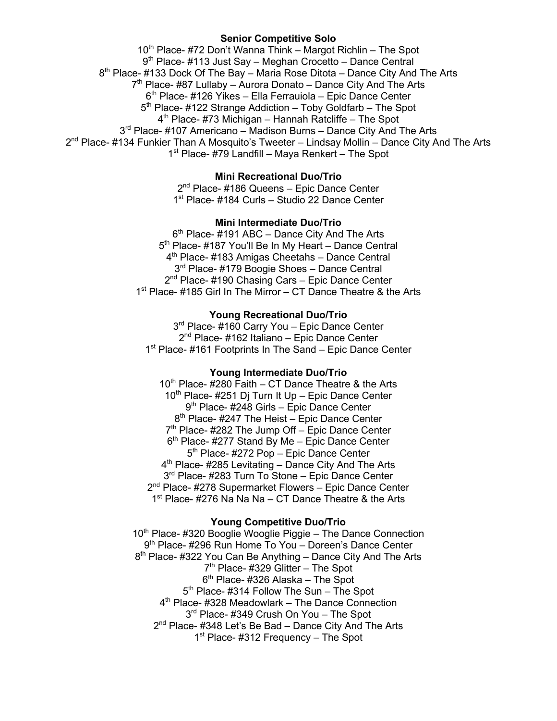# **Senior Competitive Solo**

 $10<sup>th</sup>$  Place- #72 Don't Wanna Think – Margot Richlin – The Spot  $9<sup>th</sup>$  Place- #113 Just Say – Meghan Crocetto – Dance Central  $8<sup>th</sup>$  Place- #133 Dock Of The Bay – Maria Rose Ditota – Dance City And The Arts  $7<sup>th</sup>$  Place- #87 Lullaby – Aurora Donato – Dance City And The Arts 6<sup>th</sup> Place- #126 Yikes – Ella Ferrauiola – Epic Dance Center  $5<sup>th</sup>$  Place- #122 Strange Addiction – Toby Goldfarb – The Spot  $4<sup>th</sup>$  Place- #73 Michigan – Hannah Ratcliffe – The Spot 3<sup>rd</sup> Place- #107 Americano – Madison Burns – Dance City And The Arts  $2<sup>nd</sup>$  Place- #134 Funkier Than A Mosquito's Tweeter – Lindsay Mollin – Dance City And The Arts  $1<sup>st</sup>$  Place- #79 Landfill – Maya Renkert – The Spot

# **Mini Recreational Duo/Trio**

2<sup>nd</sup> Place- #186 Queens – Epic Dance Center 1<sup>st</sup> Place- #184 Curls – Studio 22 Dance Center

## **Mini Intermediate Duo/Trio**

 $6<sup>th</sup>$  Place- #191 ABC – Dance City And The Arts 5<sup>th</sup> Place- #187 You'll Be In My Heart – Dance Central 4<sup>th</sup> Place- #183 Amigas Cheetahs – Dance Central 3<sup>rd</sup> Place- #179 Boogie Shoes - Dance Central 2<sup>nd</sup> Place- #190 Chasing Cars – Epic Dance Center 1<sup>st</sup> Place- #185 Girl In The Mirror – CT Dance Theatre & the Arts

# **Young Recreational Duo/Trio**

3<sup>rd</sup> Place- #160 Carry You - Epic Dance Center 2<sup>nd</sup> Place- #162 Italiano – Epic Dance Center 1<sup>st</sup> Place- #161 Footprints In The Sand – Epic Dance Center

# **Young Intermediate Duo/Trio**

 $10^{th}$  Place- #280 Faith – CT Dance Theatre & the Arts  $10^{th}$  Place- #251 Dj Turn It Up – Epic Dance Center 9<sup>th</sup> Place- #248 Girls – Epic Dance Center  $8<sup>th</sup>$  Place- #247 The Heist – Epic Dance Center  $7<sup>th</sup>$  Place- #282 The Jump Off – Epic Dance Center  $6<sup>th</sup>$  Place- #277 Stand By Me – Epic Dance Center 5<sup>th</sup> Place- #272 Pop – Epic Dance Center  $4<sup>th</sup>$  Place- #285 Levitating – Dance City And The Arts 3<sup>rd</sup> Place- #283 Turn To Stone – Epic Dance Center 2<sup>nd</sup> Place- #278 Supermarket Flowers – Epic Dance Center 1<sup>st</sup> Place- #276 Na Na Na – CT Dance Theatre & the Arts

# **Young Competitive Duo/Trio**

10<sup>th</sup> Place- #320 Booglie Wooglie Piggie – The Dance Connection 9<sup>th</sup> Place- #296 Run Home To You – Doreen's Dance Center 8<sup>th</sup> Place- #322 You Can Be Anything – Dance City And The Arts  $7<sup>th</sup>$  Place- #329 Glitter – The Spot  $6<sup>th</sup>$  Place- #326 Alaska – The Spot 5<sup>th</sup> Place- #314 Follow The Sun – The Spot 4<sup>th</sup> Place- #328 Meadowlark – The Dance Connection 3rd Place- #349 Crush On You - The Spot 2<sup>nd</sup> Place- #348 Let's Be Bad – Dance City And The Arts 1<sup>st</sup> Place- #312 Frequency – The Spot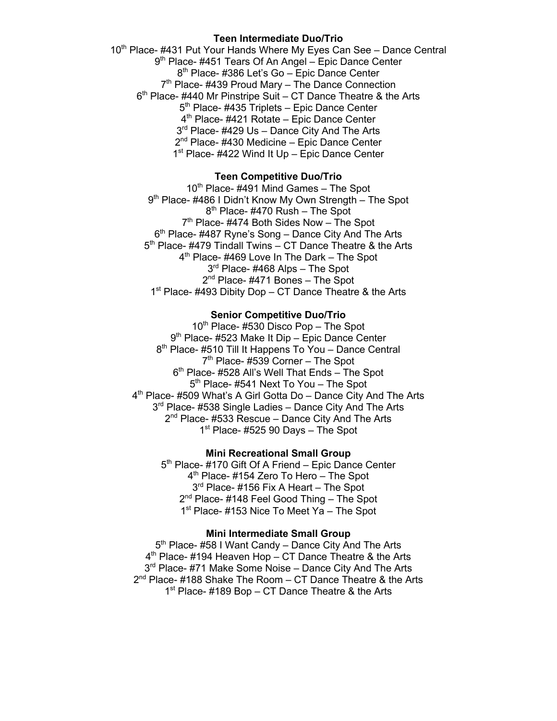#### **Teen Intermediate Duo/Trio**

10<sup>th</sup> Place- #431 Put Your Hands Where My Eyes Can See - Dance Central 9<sup>th</sup> Place- #451 Tears Of An Angel – Epic Dance Center 8<sup>th</sup> Place- #386 Let's Go - Epic Dance Center  $7<sup>th</sup>$  Place- #439 Proud Mary – The Dance Connection  $6<sup>th</sup>$  Place- #440 Mr Pinstripe Suit – CT Dance Theatre & the Arts 5<sup>th</sup> Place- #435 Triplets – Epic Dance Center 4<sup>th</sup> Place- #421 Rotate – Epic Dance Center 3<sup>rd</sup> Place- #429 Us – Dance City And The Arts  $2<sup>nd</sup>$  Place- #430 Medicine – Epic Dance Center 1<sup>st</sup> Place- #422 Wind It Up – Epic Dance Center

# **Teen Competitive Duo/Trio**

 $10<sup>th</sup>$  Place- #491 Mind Games – The Spot 9<sup>th</sup> Place- #486 I Didn't Know My Own Strength – The Spot  $8<sup>th</sup>$  Place- #470 Rush – The Spot 7<sup>th</sup> Place- #474 Both Sides Now - The Spot  $6<sup>th</sup>$  Place- #487 Ryne's Song – Dance City And The Arts 5th Place- #479 Tindall Twins – CT Dance Theatre & the Arts 4<sup>th</sup> Place- #469 Love In The Dark – The Spot 3<sup>rd</sup> Place- #468 Alps - The Spot 2<sup>nd</sup> Place- #471 Bones - The Spot 1st Place-  $\#493$  Dibity Dop – CT Dance Theatre & the Arts

# **Senior Competitive Duo/Trio**

10<sup>th</sup> Place- #530 Disco Pop - The Spot 9<sup>th</sup> Place- #523 Make It Dip – Epic Dance Center 8<sup>th</sup> Place- #510 Till It Happens To You – Dance Central 7<sup>th</sup> Place- #539 Corner - The Spot  $6<sup>th</sup>$  Place- #528 All's Well That Ends – The Spot 5<sup>th</sup> Place- #541 Next To You – The Spot 4<sup>th</sup> Place- #509 What's A Girl Gotta Do – Dance City And The Arts 3<sup>rd</sup> Place- #538 Single Ladies – Dance City And The Arts  $2^{nd}$  Place- #533 Rescue – Dance City And The Arts  $1<sup>st</sup>$  Place- #525 90 Days – The Spot

#### **Mini Recreational Small Group**

5<sup>th</sup> Place- #170 Gift Of A Friend – Epic Dance Center 4<sup>th</sup> Place- #154 Zero To Hero - The Spot 3<sup>rd</sup> Place- #156 Fix A Heart – The Spot 2<sup>nd</sup> Place- #148 Feel Good Thing - The Spot 1<sup>st</sup> Place- #153 Nice To Meet Ya – The Spot

#### **Mini Intermediate Small Group**

5<sup>th</sup> Place- #58 I Want Candy – Dance City And The Arts 4<sup>th</sup> Place- #194 Heaven Hop – CT Dance Theatre & the Arts 3<sup>rd</sup> Place- #71 Make Some Noise - Dance City And The Arts  $2^{nd}$  Place- #188 Shake The Room – CT Dance Theatre & the Arts 1<sup>st</sup> Place- #189 Bop – CT Dance Theatre & the Arts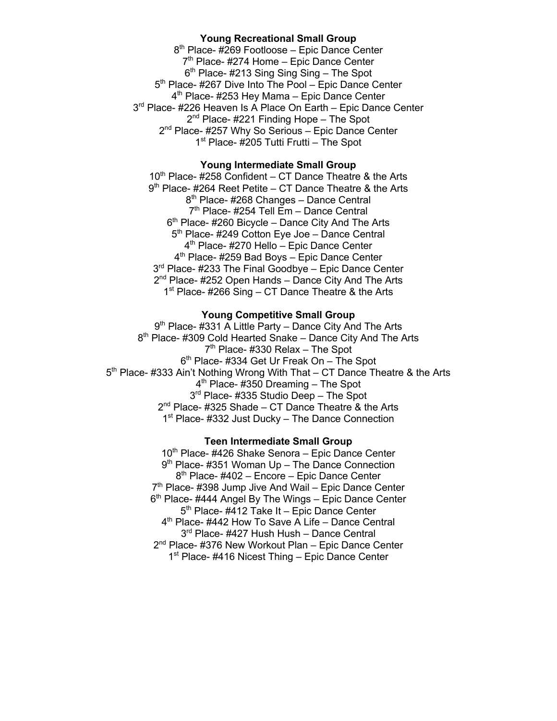## **Young Recreational Small Group**

8<sup>th</sup> Place- #269 Footloose – Epic Dance Center  $7<sup>th</sup>$  Place- #274 Home – Epic Dance Center  $6<sup>th</sup>$  Place- #213 Sing Sing Sing – The Spot 5<sup>th</sup> Place- #267 Dive Into The Pool – Epic Dance Center 4<sup>th</sup> Place- #253 Hey Mama – Epic Dance Center 3<sup>rd</sup> Place- #226 Heaven Is A Place On Earth – Epic Dance Center 2<sup>nd</sup> Place- #221 Finding Hope – The Spot 2<sup>nd</sup> Place- #257 Why So Serious – Epic Dance Center 1<sup>st</sup> Place- #205 Tutti Frutti – The Spot

# **Young Intermediate Small Group**

 $10^{th}$  Place- #258 Confident – CT Dance Theatre & the Arts 9<sup>th</sup> Place- #264 Reet Petite – CT Dance Theatre & the Arts 8<sup>th</sup> Place- #268 Changes - Dance Central 7th Place- #254 Tell Em – Dance Central  $6<sup>th</sup>$  Place- #260 Bicycle – Dance City And The Arts 5<sup>th</sup> Place- #249 Cotton Eye Joe - Dance Central 4<sup>th</sup> Place- #270 Hello – Epic Dance Center 4<sup>th</sup> Place- #259 Bad Boys – Epic Dance Center 3<sup>rd</sup> Place- #233 The Final Goodbye – Epic Dance Center 2<sup>nd</sup> Place- #252 Open Hands – Dance City And The Arts  $1<sup>st</sup>$  Place- #266 Sing – CT Dance Theatre & the Arts

#### **Young Competitive Small Group**

9<sup>th</sup> Place- #331 A Little Party – Dance City And The Arts 8<sup>th</sup> Place- #309 Cold Hearted Snake – Dance City And The Arts  $7<sup>th</sup>$  Place- #330 Relax – The Spot  $6<sup>th</sup>$  Place- #334 Get Ur Freak On - The Spot 5<sup>th</sup> Place- #333 Ain't Nothing Wrong With That – CT Dance Theatre & the Arts  $4<sup>th</sup>$  Place- #350 Dreaming – The Spot 3<sup>rd</sup> Place- #335 Studio Deep - The Spot  $2^{nd}$  Place- #325 Shade – CT Dance Theatre & the Arts 1<sup>st</sup> Place- #332 Just Ducky – The Dance Connection

#### **Teen Intermediate Small Group**

 $10^{th}$  Place- #426 Shake Senora – Epic Dance Center  $9<sup>th</sup>$  Place- #351 Woman Up – The Dance Connection 8<sup>th</sup> Place- #402 – Encore – Epic Dance Center 7<sup>th</sup> Place- #398 Jump Jive And Wail – Epic Dance Center  $6<sup>th</sup>$  Place- #444 Angel By The Wings – Epic Dance Center 5<sup>th</sup> Place- #412 Take It – Epic Dance Center  $4<sup>th</sup>$  Place- #442 How To Save A Life – Dance Central 3<sup>rd</sup> Place- #427 Hush Hush – Dance Central 2<sup>nd</sup> Place- #376 New Workout Plan – Epic Dance Center 1<sup>st</sup> Place- #416 Nicest Thing – Epic Dance Center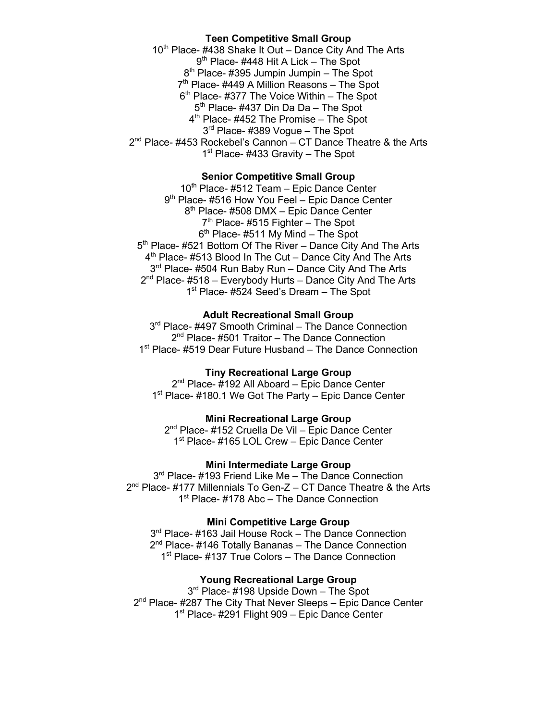# **Teen Competitive Small Group**

10<sup>th</sup> Place- #438 Shake It Out – Dance City And The Arts 9<sup>th</sup> Place- #448 Hit A Lick – The Spot 8<sup>th</sup> Place- #395 Jumpin Jumpin – The Spot  $7<sup>th</sup>$  Place- #449 A Million Reasons – The Spot  $6<sup>th</sup>$  Place- #377 The Voice Within – The Spot 5<sup>th</sup> Place- #437 Din Da Da – The Spot 4<sup>th</sup> Place- #452 The Promise – The Spot 3rd Place- #389 Vogue - The Spot 2<sup>nd</sup> Place- #453 Rockebel's Cannon – CT Dance Theatre & the Arts  $1<sup>st</sup>$  Place- #433 Gravity – The Spot

# **Senior Competitive Small Group**

10<sup>th</sup> Place- #512 Team - Epic Dance Center 9<sup>th</sup> Place- #516 How You Feel – Epic Dance Center 8<sup>th</sup> Place- #508 DMX – Epic Dance Center 7<sup>th</sup> Place- #515 Fighter – The Spot  $6<sup>th</sup>$  Place- #511 My Mind – The Spot 5<sup>th</sup> Place- #521 Bottom Of The River – Dance City And The Arts 4<sup>th</sup> Place- #513 Blood In The Cut – Dance City And The Arts 3<sup>rd</sup> Place- #504 Run Baby Run – Dance City And The Arts  $2<sup>nd</sup>$  Place- #518 – Everybody Hurts – Dance City And The Arts 1<sup>st</sup> Place- #524 Seed's Dream – The Spot

# **Adult Recreational Small Group**

3<sup>rd</sup> Place- #497 Smooth Criminal – The Dance Connection  $2<sup>nd</sup>$  Place- #501 Traitor – The Dance Connection 1<sup>st</sup> Place- #519 Dear Future Husband – The Dance Connection

# **Tiny Recreational Large Group**

2<sup>nd</sup> Place- #192 All Aboard – Epic Dance Center 1<sup>st</sup> Place- #180.1 We Got The Party – Epic Dance Center

# **Mini Recreational Large Group**

2<sup>nd</sup> Place- #152 Cruella De Vil – Epic Dance Center 1<sup>st</sup> Place- #165 LOL Crew – Epic Dance Center

# **Mini Intermediate Large Group**

3<sup>rd</sup> Place- #193 Friend Like Me – The Dance Connection  $2<sup>nd</sup>$  Place- #177 Millennials To Gen-Z – CT Dance Theatre & the Arts 1<sup>st</sup> Place- #178 Abc – The Dance Connection

# **Mini Competitive Large Group**

3<sup>rd</sup> Place- #163 Jail House Rock – The Dance Connection 2<sup>nd</sup> Place- #146 Totally Bananas - The Dance Connection 1<sup>st</sup> Place- #137 True Colors – The Dance Connection

# **Young Recreational Large Group**

3<sup>rd</sup> Place- #198 Upside Down - The Spot  $2<sup>nd</sup>$  Place- #287 The City That Never Sleeps – Epic Dance Center 1<sup>st</sup> Place- #291 Flight 909 – Epic Dance Center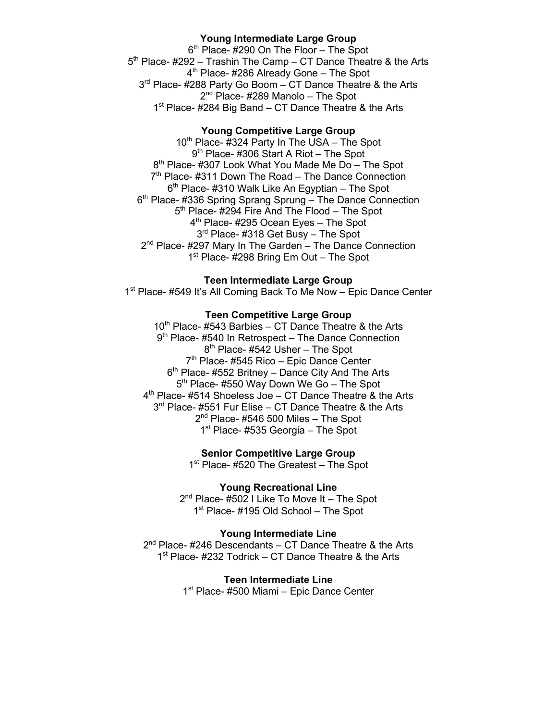# **Young Intermediate Large Group**

6<sup>th</sup> Place- #290 On The Floor - The Spot 5<sup>th</sup> Place- #292 – Trashin The Camp – CT Dance Theatre & the Arts 4<sup>th</sup> Place- #286 Already Gone – The Spot 3<sup>rd</sup> Place- #288 Party Go Boom – CT Dance Theatre & the Arts  $2<sup>nd</sup>$  Place- #289 Manolo – The Spot 1<sup>st</sup> Place- #284 Big Band – CT Dance Theatre & the Arts

# **Young Competitive Large Group**

10<sup>th</sup> Place- #324 Party In The USA – The Spot 9<sup>th</sup> Place- #306 Start A Riot – The Spot 8<sup>th</sup> Place- #307 Look What You Made Me Do – The Spot  $7<sup>th</sup>$  Place- #311 Down The Road – The Dance Connection  $6<sup>th</sup>$  Place- #310 Walk Like An Egyptian – The Spot 6<sup>th</sup> Place- #336 Spring Sprang Sprung – The Dance Connection 5<sup>th</sup> Place- #294 Fire And The Flood – The Spot  $4<sup>th</sup>$  Place- #295 Ocean Eyes – The Spot 3<sup>rd</sup> Place- #318 Get Busy - The Spot 2<sup>nd</sup> Place- #297 Mary In The Garden – The Dance Connection 1<sup>st</sup> Place- #298 Bring Em Out – The Spot

## **Teen Intermediate Large Group**

1<sup>st</sup> Place- #549 It's All Coming Back To Me Now – Epic Dance Center

# **Teen Competitive Large Group**

 $10<sup>th</sup>$  Place- #543 Barbies – CT Dance Theatre & the Arts  $9<sup>th</sup>$  Place- #540 In Retrospect – The Dance Connection  $8<sup>th</sup>$  Place- #542 Usher – The Spot 7<sup>th</sup> Place- #545 Rico – Epic Dance Center  $6<sup>th</sup>$  Place- #552 Britney – Dance City And The Arts 5<sup>th</sup> Place- #550 Way Down We Go - The Spot 4<sup>th</sup> Place- #514 Shoeless Joe – CT Dance Theatre & the Arts  $3<sup>rd</sup>$  Place- #551 Fur Elise – CT Dance Theatre & the Arts  $2<sup>nd</sup>$  Place- #546 500 Miles - The Spot  $1<sup>st</sup>$  Place- #535 Georgia – The Spot

**Senior Competitive Large Group**

1<sup>st</sup> Place- #520 The Greatest – The Spot

**Young Recreational Line** 2<sup>nd</sup> Place- #502 I Like To Move It - The Spot 1<sup>st</sup> Place- #195 Old School – The Spot

#### **Young Intermediate Line**

 $2<sup>nd</sup>$  Place- #246 Descendants – CT Dance Theatre & the Arts  $1<sup>st</sup>$  Place- #232 Todrick – CT Dance Theatre & the Arts

> **Teen Intermediate Line** 1<sup>st</sup> Place- #500 Miami – Epic Dance Center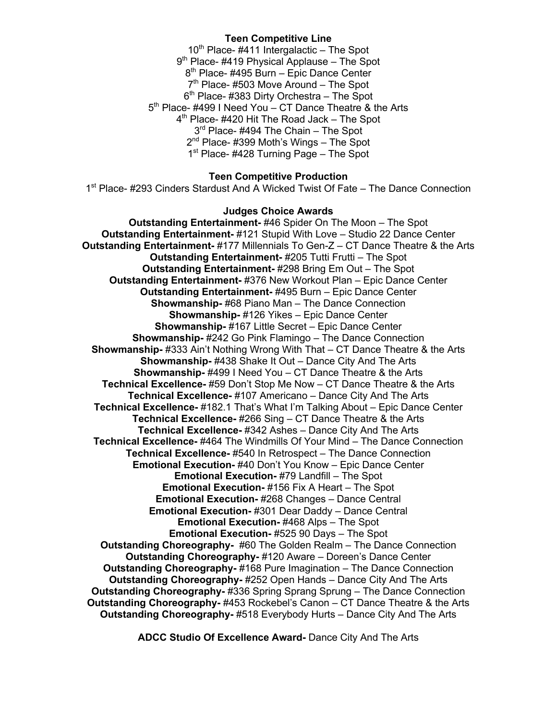# **Teen Competitive Line**

 $10<sup>th</sup>$  Place- #411 Intergalactic – The Spot 9<sup>th</sup> Place- #419 Physical Applause – The Spot 8<sup>th</sup> Place- #495 Burn – Epic Dance Center  $7<sup>th</sup>$  Place- #503 Move Around – The Spot  $6<sup>th</sup>$  Place- #383 Dirty Orchestra – The Spot 5<sup>th</sup> Place- #499 I Need You – CT Dance Theatre & the Arts 4<sup>th</sup> Place- #420 Hit The Road Jack – The Spot 3<sup>rd</sup> Place- #494 The Chain - The Spot 2<sup>nd</sup> Place- #399 Moth's Wings – The Spot 1<sup>st</sup> Place- #428 Turning Page – The Spot

# **Teen Competitive Production**

1st Place- #293 Cinders Stardust And A Wicked Twist Of Fate – The Dance Connection

#### **Judges Choice Awards**

**Outstanding Entertainment-** #46 Spider On The Moon – The Spot **Outstanding Entertainment-** #121 Stupid With Love – Studio 22 Dance Center **Outstanding Entertainment-** #177 Millennials To Gen-Z – CT Dance Theatre & the Arts **Outstanding Entertainment-** #205 Tutti Frutti – The Spot **Outstanding Entertainment-** #298 Bring Em Out – The Spot **Outstanding Entertainment-** #376 New Workout Plan – Epic Dance Center **Outstanding Entertainment-** #495 Burn – Epic Dance Center **Showmanship-** #68 Piano Man – The Dance Connection **Showmanship-** #126 Yikes – Epic Dance Center **Showmanship-** #167 Little Secret – Epic Dance Center **Showmanship-** #242 Go Pink Flamingo – The Dance Connection **Showmanship-** #333 Ain't Nothing Wrong With That – CT Dance Theatre & the Arts **Showmanship-** #438 Shake It Out – Dance City And The Arts **Showmanship-** #499 I Need You – CT Dance Theatre & the Arts **Technical Excellence-** #59 Don't Stop Me Now – CT Dance Theatre & the Arts **Technical Excellence-** #107 Americano – Dance City And The Arts **Technical Excellence-** #182.1 That's What I'm Talking About – Epic Dance Center **Technical Excellence-** #266 Sing – CT Dance Theatre & the Arts **Technical Excellence-** #342 Ashes – Dance City And The Arts **Technical Excellence-** #464 The Windmills Of Your Mind – The Dance Connection **Technical Excellence-** #540 In Retrospect – The Dance Connection **Emotional Execution-** #40 Don't You Know – Epic Dance Center **Emotional Execution-** #79 Landfill – The Spot **Emotional Execution-** #156 Fix A Heart – The Spot **Emotional Execution-** #268 Changes – Dance Central **Emotional Execution-** #301 Dear Daddy – Dance Central **Emotional Execution-** #468 Alps – The Spot **Emotional Execution-** #525 90 Days – The Spot **Outstanding Choreography-** #60 The Golden Realm – The Dance Connection **Outstanding Choreography-** #120 Aware – Doreen's Dance Center **Outstanding Choreography-** #168 Pure Imagination – The Dance Connection **Outstanding Choreography-** #252 Open Hands – Dance City And The Arts **Outstanding Choreography-** #336 Spring Sprang Sprung – The Dance Connection **Outstanding Choreography-** #453 Rockebel's Canon – CT Dance Theatre & the Arts **Outstanding Choreography-** #518 Everybody Hurts – Dance City And The Arts

**ADCC Studio Of Excellence Award-** Dance City And The Arts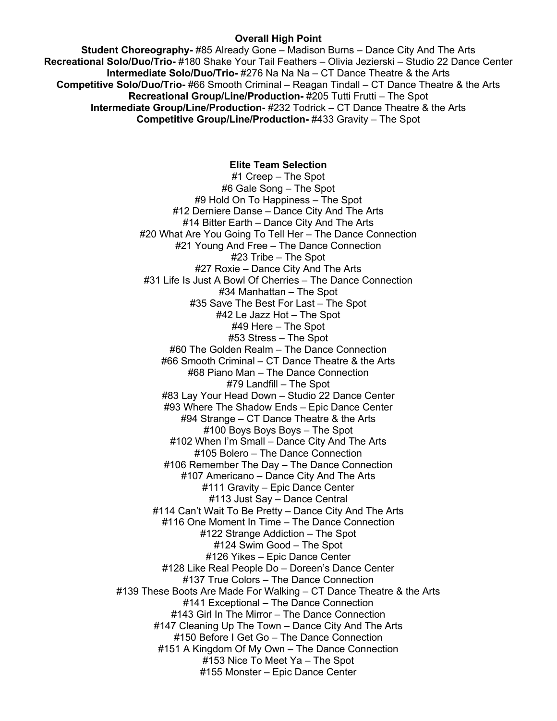#### **Overall High Point**

**Student Choreography-** #85 Already Gone – Madison Burns – Dance City And The Arts **Recreational Solo/Duo/Trio-** #180 Shake Your Tail Feathers – Olivia Jezierski – Studio 22 Dance Center **Intermediate Solo/Duo/Trio-** #276 Na Na Na – CT Dance Theatre & the Arts **Competitive Solo/Duo/Trio-** #66 Smooth Criminal – Reagan Tindall – CT Dance Theatre & the Arts **Recreational Group/Line/Production-** #205 Tutti Frutti – The Spot **Intermediate Group/Line/Production-** #232 Todrick – CT Dance Theatre & the Arts **Competitive Group/Line/Production-** #433 Gravity – The Spot

# **Elite Team Selection**

#1 Creep – The Spot #6 Gale Song – The Spot #9 Hold On To Happiness – The Spot #12 Derniere Danse – Dance City And The Arts #14 Bitter Earth – Dance City And The Arts #20 What Are You Going To Tell Her – The Dance Connection #21 Young And Free – The Dance Connection #23 Tribe – The Spot #27 Roxie – Dance City And The Arts #31 Life Is Just A Bowl Of Cherries – The Dance Connection #34 Manhattan – The Spot #35 Save The Best For Last – The Spot #42 Le Jazz Hot – The Spot #49 Here – The Spot #53 Stress – The Spot #60 The Golden Realm – The Dance Connection #66 Smooth Criminal – CT Dance Theatre & the Arts #68 Piano Man – The Dance Connection #79 Landfill – The Spot #83 Lay Your Head Down – Studio 22 Dance Center #93 Where The Shadow Ends – Epic Dance Center #94 Strange – CT Dance Theatre & the Arts #100 Boys Boys Boys – The Spot #102 When I'm Small – Dance City And The Arts #105 Bolero – The Dance Connection #106 Remember The Day – The Dance Connection #107 Americano – Dance City And The Arts #111 Gravity – Epic Dance Center #113 Just Say – Dance Central #114 Can't Wait To Be Pretty – Dance City And The Arts #116 One Moment In Time – The Dance Connection #122 Strange Addiction – The Spot #124 Swim Good – The Spot #126 Yikes – Epic Dance Center #128 Like Real People Do – Doreen's Dance Center #137 True Colors – The Dance Connection #139 These Boots Are Made For Walking – CT Dance Theatre & the Arts #141 Exceptional – The Dance Connection #143 Girl In The Mirror – The Dance Connection #147 Cleaning Up The Town – Dance City And The Arts #150 Before I Get Go – The Dance Connection #151 A Kingdom Of My Own – The Dance Connection #153 Nice To Meet Ya – The Spot #155 Monster – Epic Dance Center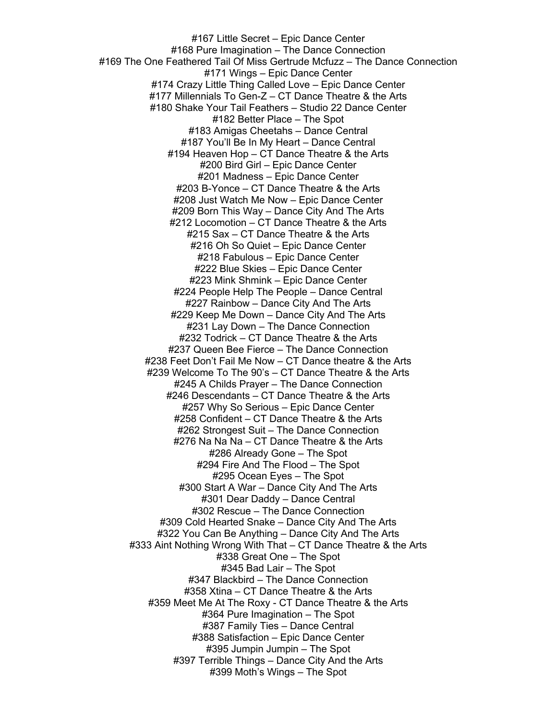#167 Little Secret – Epic Dance Center #168 Pure Imagination – The Dance Connection #169 The One Feathered Tail Of Miss Gertrude Mcfuzz – The Dance Connection #171 Wings – Epic Dance Center #174 Crazy Little Thing Called Love – Epic Dance Center #177 Millennials To Gen-Z – CT Dance Theatre & the Arts #180 Shake Your Tail Feathers – Studio 22 Dance Center #182 Better Place – The Spot #183 Amigas Cheetahs – Dance Central #187 You'll Be In My Heart – Dance Central #194 Heaven Hop – CT Dance Theatre & the Arts #200 Bird Girl – Epic Dance Center #201 Madness – Epic Dance Center #203 B-Yonce – CT Dance Theatre & the Arts #208 Just Watch Me Now – Epic Dance Center #209 Born This Way – Dance City And The Arts #212 Locomotion – CT Dance Theatre & the Arts #215 Sax – CT Dance Theatre & the Arts #216 Oh So Quiet – Epic Dance Center #218 Fabulous – Epic Dance Center #222 Blue Skies – Epic Dance Center #223 Mink Shmink – Epic Dance Center #224 People Help The People – Dance Central #227 Rainbow – Dance City And The Arts #229 Keep Me Down – Dance City And The Arts #231 Lay Down – The Dance Connection #232 Todrick – CT Dance Theatre & the Arts #237 Queen Bee Fierce – The Dance Connection #238 Feet Don't Fail Me Now – CT Dance theatre & the Arts #239 Welcome To The 90's – CT Dance Theatre & the Arts #245 A Childs Prayer – The Dance Connection #246 Descendants – CT Dance Theatre & the Arts #257 Why So Serious – Epic Dance Center #258 Confident – CT Dance Theatre & the Arts #262 Strongest Suit – The Dance Connection #276 Na Na Na – CT Dance Theatre & the Arts #286 Already Gone – The Spot #294 Fire And The Flood – The Spot #295 Ocean Eyes – The Spot #300 Start A War – Dance City And The Arts #301 Dear Daddy – Dance Central #302 Rescue – The Dance Connection #309 Cold Hearted Snake – Dance City And The Arts #322 You Can Be Anything – Dance City And The Arts #333 Aint Nothing Wrong With That – CT Dance Theatre & the Arts #338 Great One – The Spot #345 Bad Lair – The Spot #347 Blackbird – The Dance Connection #358 Xtina – CT Dance Theatre & the Arts #359 Meet Me At The Roxy - CT Dance Theatre & the Arts #364 Pure Imagination – The Spot #387 Family Ties – Dance Central #388 Satisfaction – Epic Dance Center #395 Jumpin Jumpin – The Spot #397 Terrible Things – Dance City And the Arts #399 Moth's Wings – The Spot